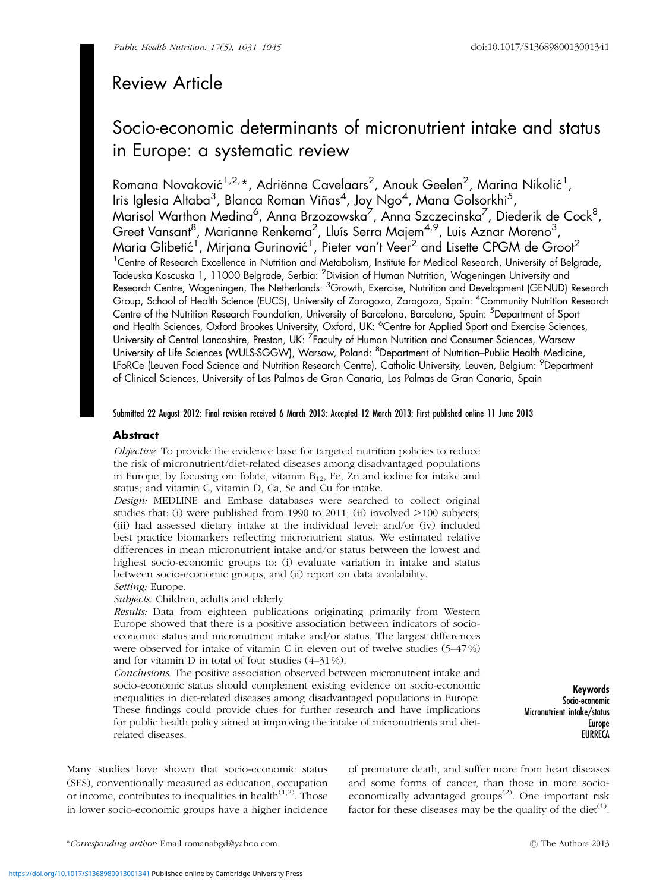# Review Article

# Socio-economic determinants of micronutrient intake and status in Europe: a systematic review

Romana Novaković<sup>1,2,</sup>\*, Adriënne Cavelaars<sup>2</sup>, Anouk Geelen<sup>2</sup>, Marina Nikolić<sup>1</sup>, Iris Iglesia Altaba<sup>3</sup>, Blanca Roman Viñas<sup>4</sup>, Joy Ngo<sup>4</sup>, Mana Golsorkhi<sup>5</sup>, Marisol Warthon Medina<sup>6</sup>, Anna Brzozowska<sup>7</sup>, Anna Szczecinska<sup>7</sup>, Diederik de Cock<sup>8</sup>, Greet Vansant<sup>8</sup>, Marianne Renkema<sup>2</sup>, Lluís Serra Majem<sup>4,9</sup>, Luis Aznar Moreno<sup>3</sup>, Maria Glibetić<sup>1</sup>, Mirjana Gurinović<sup>1</sup>, Pieter van't Veer<sup>2</sup> and Lisette CPGM de Groot<sup>2</sup> <sup>1</sup>Centre of Research Excellence in Nutrition and Metabolism, Institute for Medical Research, University of Belgrade, Tadeuska Koscuska 1, 11000 Belgrade, Serbia: <sup>2</sup>Division of Human Nutrition, Wageningen University and Research Centre, Wageningen, The Netherlands: <sup>3</sup>Growth, Exercise, Nutrition and Development (GENUD) Research Group, School of Health Science (EUCS), University of Zaragoza, Zaragoza, Spain: <sup>4</sup>Community Nutrition Research Centre of the Nutrition Research Foundation, University of Barcelona, Barcelona, Spain: <sup>5</sup>Department of Sport and Health Sciences, Oxford Brookes University, Oxford, UK: <sup>6</sup>Centre for Applied Sport and Exercise Sciences, University of Central Lancashire, Preston, UK: <sup>7</sup>Faculty of Human Nutrition and Consumer Sciences, Warsaw University of Life Sciences (WULS-SGGW), Warsaw, Poland: <sup>8</sup>Department of Nutrition–Public Health Medicine, LFoRCe (Leuven Food Science and Nutrition Research Centre), Catholic University, Leuven, Belgium: <sup>9</sup>Department of Clinical Sciences, University of Las Palmas de Gran Canaria, Las Palmas de Gran Canaria, Spain

# Submitted 22 August 2012: Final revision received 6 March 2013: Accepted 12 March 2013: First published online 11 June 2013

# **Abstract**

Objective: To provide the evidence base for targeted nutrition policies to reduce the risk of micronutrient/diet-related diseases among disadvantaged populations in Europe, by focusing on: folate, vitamin  $B_{12}$ , Fe, Zn and iodine for intake and status; and vitamin C, vitamin D, Ca, Se and Cu for intake.

Design: MEDLINE and Embase databases were searched to collect original studies that: (i) were published from 1990 to 2011; (ii) involved  $>100$  subjects; (iii) had assessed dietary intake at the individual level; and/or (iv) included best practice biomarkers reflecting micronutrient status. We estimated relative differences in mean micronutrient intake and/or status between the lowest and highest socio-economic groups to: (i) evaluate variation in intake and status between socio-economic groups; and (ii) report on data availability. Setting: Europe.

Subjects: Children, adults and elderly.

Results: Data from eighteen publications originating primarily from Western Europe showed that there is a positive association between indicators of socioeconomic status and micronutrient intake and/or status. The largest differences were observed for intake of vitamin C in eleven out of twelve studies  $(5-47%)$ and for vitamin D in total of four studies (4–31 %).

Conclusions: The positive association observed between micronutrient intake and socio-economic status should complement existing evidence on socio-economic inequalities in diet-related diseases among disadvantaged populations in Europe. These findings could provide clues for further research and have implications for public health policy aimed at improving the intake of micronutrients and dietrelated diseases.

Keywords Socio-economic Micronutrient intake/status Europe **EURRECA** 

Many studies have shown that socio-economic status (SES), conventionally measured as education, occupation or income, contributes to inequalities in health $(1,2)$  $(1,2)$ . Those in lower socio-economic groups have a higher incidence

of premature death, and suffer more from heart diseases and some forms of cancer, than those in more socioeconomically advantaged groups<sup> $(2)$  $(2)$  $(2)$ </sup>. One important risk factor for these diseases may be the quality of the diet<sup>[\(1\)](#page-13-0)</sup>.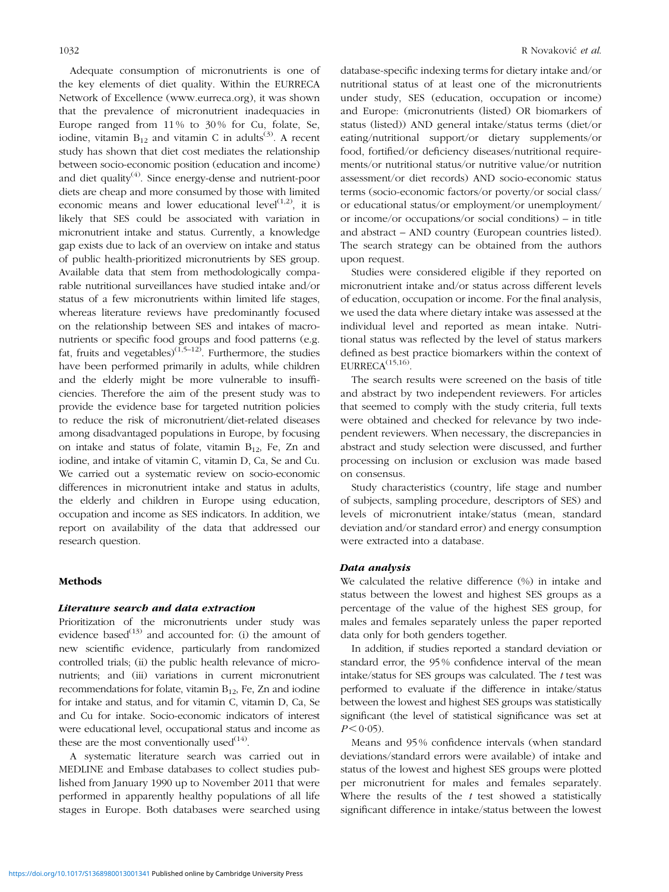Adequate consumption of micronutrients is one of the key elements of diet quality. Within the EURRECA Network of Excellence (www.eurreca.org), it was shown that the prevalence of micronutrient inadequacies in Europe ranged from 11% to 30% for Cu, folate, Se, iodine, vitamin  $B_{12}$  and vitamin C in adults<sup>[\(3\)](#page-13-0)</sup>. A recent study has shown that diet cost mediates the relationship between socio-economic position (education and income) and diet quality<sup>[\(4\)](#page-13-0)</sup>. Since energy-dense and nutrient-poor diets are cheap and more consumed by those with limited economic means and lower educational level $(1,2)$ , it is likely that SES could be associated with variation in micronutrient intake and status. Currently, a knowledge gap exists due to lack of an overview on intake and status of public health-prioritized micronutrients by SES group. Available data that stem from methodologically comparable nutritional surveillances have studied intake and/or status of a few micronutrients within limited life stages, whereas literature reviews have predominantly focused on the relationship between SES and intakes of macronutrients or specific food groups and food patterns (e.g. fat, fruits and vegetables)<sup>[\(1,5–12\)](#page-13-0)</sup>. Furthermore, the studies have been performed primarily in adults, while children and the elderly might be more vulnerable to insufficiencies. Therefore the aim of the present study was to provide the evidence base for targeted nutrition policies to reduce the risk of micronutrient/diet-related diseases among disadvantaged populations in Europe, by focusing on intake and status of folate, vitamin  $B_{12}$ , Fe, Zn and iodine, and intake of vitamin C, vitamin D, Ca, Se and Cu. We carried out a systematic review on socio-economic differences in micronutrient intake and status in adults, the elderly and children in Europe using education, occupation and income as SES indicators. In addition, we report on availability of the data that addressed our research question.

# Methods

### Literature search and data extraction

Prioritization of the micronutrients under study was evidence based $(13)$  $(13)$  and accounted for: (i) the amount of new scientific evidence, particularly from randomized controlled trials; (ii) the public health relevance of micronutrients; and (iii) variations in current micronutrient recommendations for folate, vitamin B<sub>12</sub>, Fe, Zn and iodine for intake and status, and for vitamin C, vitamin D, Ca, Se and Cu for intake. Socio-economic indicators of interest were educational level, occupational status and income as these are the most conventionally used $(14)$  $(14)$ .

A systematic literature search was carried out in MEDLINE and Embase databases to collect studies published from January 1990 up to November 2011 that were performed in apparently healthy populations of all life stages in Europe. Both databases were searched using

database-specific indexing terms for dietary intake and/or nutritional status of at least one of the micronutrients under study, SES (education, occupation or income) and Europe: (micronutrients (listed) OR biomarkers of status (listed)) AND general intake/status terms (diet/or eating/nutritional support/or dietary supplements/or food, fortified/or deficiency diseases/nutritional requirements/or nutritional status/or nutritive value/or nutrition assessment/or diet records) AND socio-economic status terms (socio-economic factors/or poverty/or social class/ or educational status/or employment/or unemployment/ or income/or occupations/or social conditions) – in title and abstract – AND country (European countries listed). The search strategy can be obtained from the authors upon request.

Studies were considered eligible if they reported on micronutrient intake and/or status across different levels of education, occupation or income. For the final analysis, we used the data where dietary intake was assessed at the individual level and reported as mean intake. Nutritional status was reflected by the level of status markers defined as best practice biomarkers within the context of  $EURRECA<sup>(15,16)</sup>$  $EURRECA<sup>(15,16)</sup>$  $EURRECA<sup>(15,16)</sup>$ 

The search results were screened on the basis of title and abstract by two independent reviewers. For articles that seemed to comply with the study criteria, full texts were obtained and checked for relevance by two independent reviewers. When necessary, the discrepancies in abstract and study selection were discussed, and further processing on inclusion or exclusion was made based on consensus.

Study characteristics (country, life stage and number of subjects, sampling procedure, descriptors of SES) and levels of micronutrient intake/status (mean, standard deviation and/or standard error) and energy consumption were extracted into a database.

# Data analysis

We calculated the relative difference (%) in intake and status between the lowest and highest SES groups as a percentage of the value of the highest SES group, for males and females separately unless the paper reported data only for both genders together.

In addition, if studies reported a standard deviation or standard error, the 95 % confidence interval of the mean intake/status for SES groups was calculated. The  $t$  test was performed to evaluate if the difference in intake/status between the lowest and highest SES groups was statistically significant (the level of statistical significance was set at  $P < 0.05$ ).

Means and 95 % confidence intervals (when standard deviations/standard errors were available) of intake and status of the lowest and highest SES groups were plotted per micronutrient for males and females separately. Where the results of the  $t$  test showed a statistically significant difference in intake/status between the lowest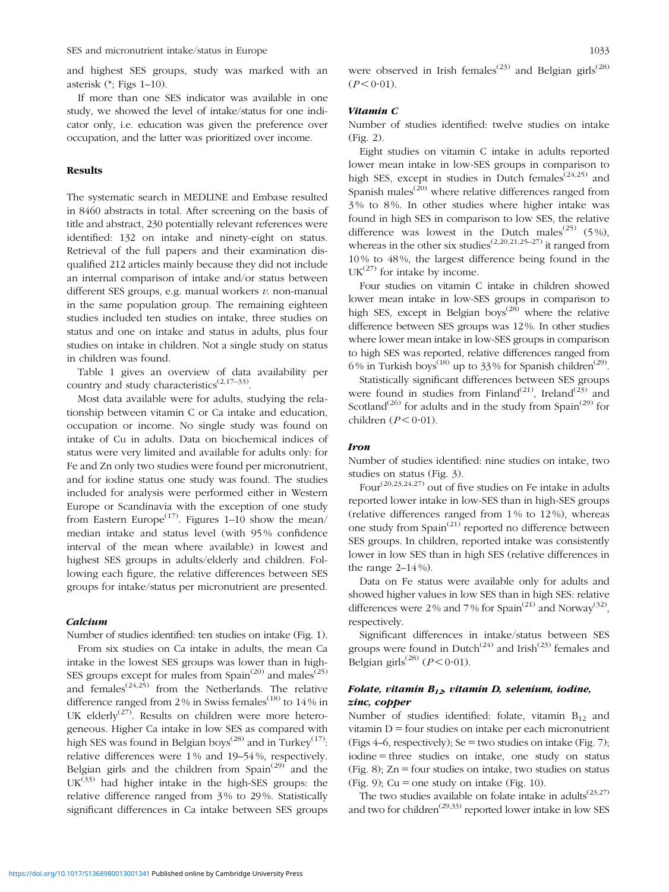SES and micronutrient intake/status in Europe 1033

and highest SES groups, study was marked with an asterisk (\*; [Figs 1](#page-5-0)–[10](#page-12-0)).

If more than one SES indicator was available in one study, we showed the level of intake/status for one indicator only, i.e. education was given the preference over occupation, and the latter was prioritized over income.

## Results

The systematic search in MEDLINE and Embase resulted in 8460 abstracts in total. After screening on the basis of title and abstract, 230 potentially relevant references were identified: 132 on intake and ninety-eight on status. Retrieval of the full papers and their examination disqualified 212 articles mainly because they did not include an internal comparison of intake and/or status between different SES groups, e.g. manual workers  $v$ . non-manual in the same population group. The remaining eighteen studies included ten studies on intake, three studies on status and one on intake and status in adults, plus four studies on intake in children. Not a single study on status in children was found.

[Table 1](#page-3-0) gives an overview of data availability per country and study characteristics<sup> $(2,17-33)$  $(2,17-33)$  $(2,17-33)$  $(2,17-33)$ </sup>.

Most data available were for adults, studying the relationship between vitamin C or Ca intake and education, occupation or income. No single study was found on intake of Cu in adults. Data on biochemical indices of status were very limited and available for adults only: for Fe and Zn only two studies were found per micronutrient, and for iodine status one study was found. The studies included for analysis were performed either in Western Europe or Scandinavia with the exception of one study from Eastern Europe<sup>[\(17](#page-13-0))</sup>. [Figures 1](#page-5-0)–[10](#page-12-0) show the mean/ median intake and status level (with 95 % confidence interval of the mean where available) in lowest and highest SES groups in adults/elderly and children. Following each figure, the relative differences between SES groups for intake/status per micronutrient are presented.

#### Calcium

Number of studies identified: ten studies on intake ([Fig. 1](#page-5-0)). From six studies on Ca intake in adults, the mean Ca intake in the lowest SES groups was lower than in high-SES groups except for males from  $Spin^{(20)}$  $Spin^{(20)}$  $Spin^{(20)}$  and males<sup>[\(25](#page-13-0))</sup> and females<sup> $(24,25)$  $(24,25)$ </sup> from the Netherlands. The relative difference ranged from 2% in Swiss females<sup>[\(18](#page-13-0))</sup> to 14% in UK elderly<sup>([27\)](#page-13-0)</sup>. Results on children were more heterogeneous. Higher Ca intake in low SES as compared with high SES was found in Belgian boys<sup>([28\)](#page-13-0)</sup> and in Turkey<sup>([17\)](#page-13-0)</sup>: relative differences were 1 % and 19–54 %, respectively. Belgian girls and the children from  $Spin^{(29)}$  $Spin^{(29)}$  $Spin^{(29)}$  and the  $UK^{(33)}$  $UK^{(33)}$  $UK^{(33)}$  had higher intake in the high-SES groups: the relative difference ranged from 3 % to 29 %. Statistically significant differences in Ca intake between SES groups were observed in Irish females<sup>([23\)](#page-13-0)</sup> and Belgian girls<sup>[\(28](#page-13-0))</sup>  $(P < 0.01)$ .

#### Vitamin C

Number of studies identified: twelve studies on intake ([Fig. 2\)](#page-6-0).

Eight studies on vitamin C intake in adults reported lower mean intake in low-SES groups in comparison to high SES, except in studies in Dutch females<sup> $(24,25)$  $(24,25)$ </sup> and Spanish males<sup> $(20)$  $(20)$ </sup> where relative differences ranged from 3 % to 8 %. In other studies where higher intake was found in high SES in comparison to low SES, the relative difference was lowest in the Dutch males<sup>([25\)](#page-13-0)</sup> (5%), whereas in the other six studies<sup>([2](#page-13-0),[20](#page-13-0),[21](#page-13-0),[25–27\)](#page-13-0)</sup> it ranged from 10 % to 48 %, the largest difference being found in the  $UK^{(27)}$  $UK^{(27)}$  $UK^{(27)}$  for intake by income.

Four studies on vitamin C intake in children showed lower mean intake in low-SES groups in comparison to high SES, except in Belgian boys<sup> $(28)$ </sup> where the relative difference between SES groups was 12 %. In other studies where lower mean intake in low-SES groups in comparison to high SES was reported, relative differences ranged from 6% in Turkish boys<sup>[\(18\)](#page-13-0)</sup> up to 33% for Spanish children<sup>[\(29\)](#page-13-0)</sup>.

Statistically significant differences between SES groups were found in studies from Finland<sup>[\(21\)](#page-13-0)</sup>, Ireland<sup>[\(23](#page-13-0))</sup> and Scotland<sup>[\(26\)](#page-13-0)</sup> for adults and in the study from Spain<sup>([29\)](#page-13-0)</sup> for children  $(P < 0.01)$ .

# Iron

Number of studies identified: nine studies on intake, two studies on status ([Fig. 3](#page-7-0)).

Four<sup> $(20,23,24,27)$  $(20,23,24,27)$  $(20,23,24,27)$ </sup> out of five studies on Fe intake in adults reported lower intake in low-SES than in high-SES groups (relative differences ranged from  $1\%$  to  $12\%$ ), whereas one study from Spain([21\)](#page-13-0) reported no difference between SES groups. In children, reported intake was consistently lower in low SES than in high SES (relative differences in the range  $2-14\%$ ).

Data on Fe status were available only for adults and showed higher values in low SES than in high SES: relative differences were 2% and 7% for Spain<sup>[\(21](#page-13-0))</sup> and Norway<sup>[\(32\)](#page-14-0)</sup>, respectively.

Significant differences in intake/status between SES groups were found in Dutch<sup>([24\)](#page-13-0)</sup> and Irish<sup>[\(23](#page-13-0))</sup> females and Belgian girls<sup>[\(28\)](#page-13-0)</sup> ( $P < 0.01$ ).

# Folate, vitamin  $B_{12}$  vitamin D, selenium, iodine, zinc, copper

Number of studies identified: folate, vitamin  $B_{12}$  and vitamin  $D =$  four studies on intake per each micronutrient (Figs  $4-6$ , respectively); Se = two studies on intake ([Fig. 7\)](#page-9-0); iodine = three studies on intake, one study on status ([Fig. 8\)](#page-10-0);  $Zn =$  four studies on intake, two studies on status ([Fig. 9](#page-11-0));  $Cu =$  one study on intake ([Fig. 10\)](#page-12-0).

The two studies available on folate intake in adults<sup> $(23,27)$  $(23,27)$ </sup> and two for children<sup>[\(29](#page-13-0),[33\)](#page-14-0)</sup> reported lower intake in low SES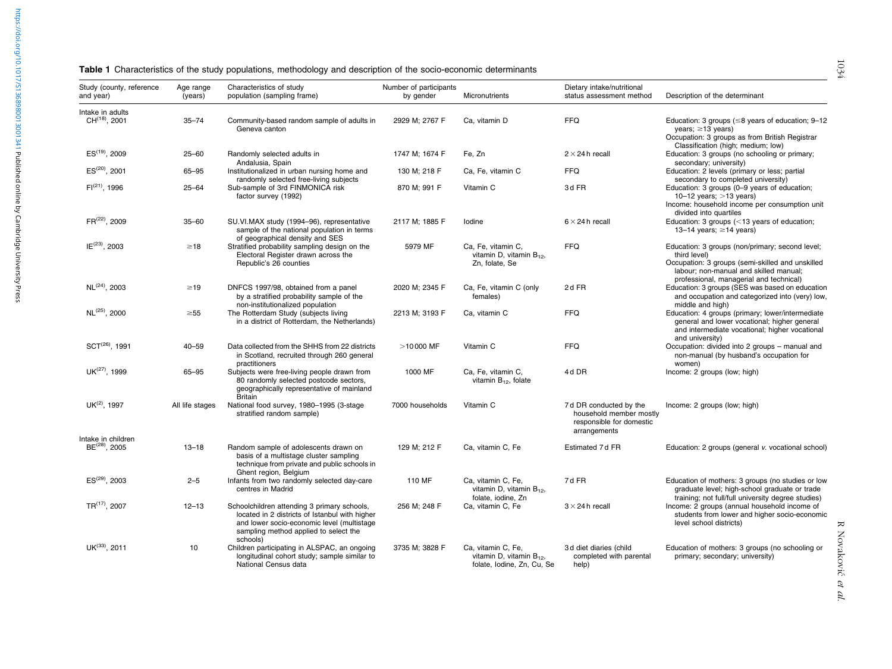# 1034

#### <span id="page-3-0"></span>Table 1 Characteristics of the study populations, methodology and description of the socio-economic determinants

| Study (county, reference<br>and year)           | Age range<br>(years) | Characteristics of study<br>population (sampling frame)                                                                                                                                          | Number of participants<br>by gender | Micronutrients                                                                    | Dietary intake/nutritional<br>status assessment method                                        | Description of the determinant                                                                                                                                                                           |
|-------------------------------------------------|----------------------|--------------------------------------------------------------------------------------------------------------------------------------------------------------------------------------------------|-------------------------------------|-----------------------------------------------------------------------------------|-----------------------------------------------------------------------------------------------|----------------------------------------------------------------------------------------------------------------------------------------------------------------------------------------------------------|
| Intake in adults<br>CH <sup>(18)</sup> , 2001   | $35 - 74$            | Community-based random sample of adults in<br>Geneva canton                                                                                                                                      | 2929 M; 2767 F                      | Ca, vitamin D                                                                     | <b>FFQ</b>                                                                                    | Education: 3 groups ( $\leq$ 8 years of education; 9-12<br>years; $\geq$ 13 years)                                                                                                                       |
| $ES^{(19)}$ , 2009                              | $25 - 60$            | Randomly selected adults in<br>Andalusia, Spain                                                                                                                                                  | 1747 M; 1674 F                      | Fe, Zn                                                                            | $2 \times 24$ h recall                                                                        | Occupation: 3 groups as from British Registrar<br>Classification (high; medium; low)<br>Education: 3 groups (no schooling or primary;<br>secondary; university)                                          |
| $ES(20)$ , 2001                                 | 65-95                | Institutionalized in urban nursing home and                                                                                                                                                      | 130 M: 218 F                        | Ca, Fe, vitamin C                                                                 | <b>FFQ</b>                                                                                    | Education: 2 levels (primary or less; partial                                                                                                                                                            |
| $FI^{(21)}$ , 1996                              | $25 - 64$            | randomly selected free-living subjects<br>Sub-sample of 3rd FINMONICA risk<br>factor survey (1992)                                                                                               | 870 M: 991 F                        | Vitamin C                                                                         | 3d FR                                                                                         | secondary to completed university)<br>Education: 3 groups (0-9 years of education;<br>10-12 years; $>13$ years)<br>Income: household income per consumption unit                                         |
| FR <sup>(22)</sup> , 2009                       | $35 - 60$            | SU.VI.MAX study (1994-96), representative<br>sample of the national population in terms<br>of geographical density and SES                                                                       | 2117 M; 1885 F                      | Iodine                                                                            | $6 \times 24$ h recall                                                                        | divided into quartiles<br>Education: 3 groups $\left($ < 13 years of education;<br>13-14 years; $\geq$ 14 years)                                                                                         |
| $IE^{(23)}$ , 2003                              | $\geq$ 18            | Stratified probability sampling design on the<br>Electoral Register drawn across the<br>Republic's 26 counties                                                                                   | 5979 MF                             | Ca, Fe, vitamin C,<br>vitamin D, vitamin $B_{12}$ ,<br>Zn, folate, Se             | <b>FFQ</b>                                                                                    | Education: 3 groups (non/primary; second level;<br>third level)<br>Occupation: 3 groups (semi-skilled and unskilled<br>labour; non-manual and skilled manual;<br>professional, managerial and technical) |
| NL <sup>(24)</sup> , 2003                       | $\geq$ 19            | DNFCS 1997/98, obtained from a panel<br>by a stratified probability sample of the<br>non-institutionalized population                                                                            | 2020 M; 2345 F                      | Ca, Fe, vitamin C (only<br>females)                                               | 2d FR                                                                                         | Education: 3 groups (SES was based on education<br>and occupation and categorized into (very) low,<br>middle and high)                                                                                   |
| NL <sup>(25)</sup> , 2000                       | $\geq 55$            | The Rotterdam Study (subjects living<br>in a district of Rotterdam, the Netherlands)                                                                                                             | 2213 M; 3193 F                      | Ca, vitamin C                                                                     | <b>FFQ</b>                                                                                    | Education: 4 groups (primary; lower/intermediate<br>general and lower vocational; higher general<br>and intermediate vocational; higher vocational<br>and university)                                    |
| $SCT(26)$ , 1991                                | $40 - 59$            | Data collected from the SHHS from 22 districts<br>in Scotland, recruited through 260 general<br>practitioners                                                                                    | $>10000$ MF                         | Vitamin C                                                                         | <b>FFQ</b>                                                                                    | Occupation: divided into 2 groups - manual and<br>non-manual (by husband's occupation for<br>women)                                                                                                      |
| UK(27), 1999                                    | 65-95                | Subjects were free-living people drawn from<br>80 randomly selected postcode sectors,<br>geographically representative of mainland<br><b>Britain</b>                                             | 1000 MF                             | Ca, Fe, vitamin C,<br>vitamin B <sub>12</sub> , folate                            | 4d DR                                                                                         | Income: 2 groups (low; high)                                                                                                                                                                             |
| UK <sup>(2)</sup> , 1997                        | All life stages      | National food survey, 1980-1995 (3-stage<br>stratified random sample)                                                                                                                            | 7000 households                     | Vitamin C                                                                         | 7d DR conducted by the<br>household member mostly<br>responsible for domestic<br>arrangements | Income: 2 groups (low; high)                                                                                                                                                                             |
| Intake in children<br>BE <sup>(28)</sup> , 2005 | $13 - 18$            | Random sample of adolescents drawn on<br>basis of a multistage cluster sampling<br>technique from private and public schools in<br>Ghent region, Belgium                                         | 129 M; 212 F                        | Ca, vitamin C, Fe                                                                 | Estimated 7d FR                                                                               | Education: 2 groups (general v. vocational school)                                                                                                                                                       |
| $ES^{(29)}$ , 2003                              | $2 - 5$              | Infants from two randomly selected day-care<br>centres in Madrid                                                                                                                                 | 110 MF                              | Ca, vitamin C, Fe,<br>vitamin D, vitamin $B_{12}$ ,<br>folate, iodine, Zn         | 7d FR                                                                                         | Education of mothers: 3 groups (no studies or low<br>graduate level; high-school graduate or trade<br>training; not full/full university degree studies)                                                 |
| TR <sup>(17)</sup> , 2007                       | $12 - 13$            | Schoolchildren attending 3 primary schools,<br>located in 2 districts of Istanbul with higher<br>and lower socio-economic level (multistage<br>sampling method applied to select the<br>schools) | 256 M: 248 F                        | Ca, vitamin C, Fe                                                                 | $3 \times 24$ h recall                                                                        | Income: 2 groups (annual household income of<br>students from lower and higher socio-economic<br>level school districts)                                                                                 |
| UK(33), 2011                                    | 10                   | Children participating in ALSPAC, an ongoing<br>longitudinal cohort study; sample similar to<br>National Census data                                                                             | 3735 M; 3828 F                      | Ca, vitamin C, Fe,<br>vitamin D, vitamin $B_{12}$ ,<br>folate, Iodine, Zn, Cu, Se | 3d diet diaries (child<br>completed with parental<br>help)                                    | Education of mothers: 3 groups (no schooling or<br>primary; secondary; university)                                                                                                                       |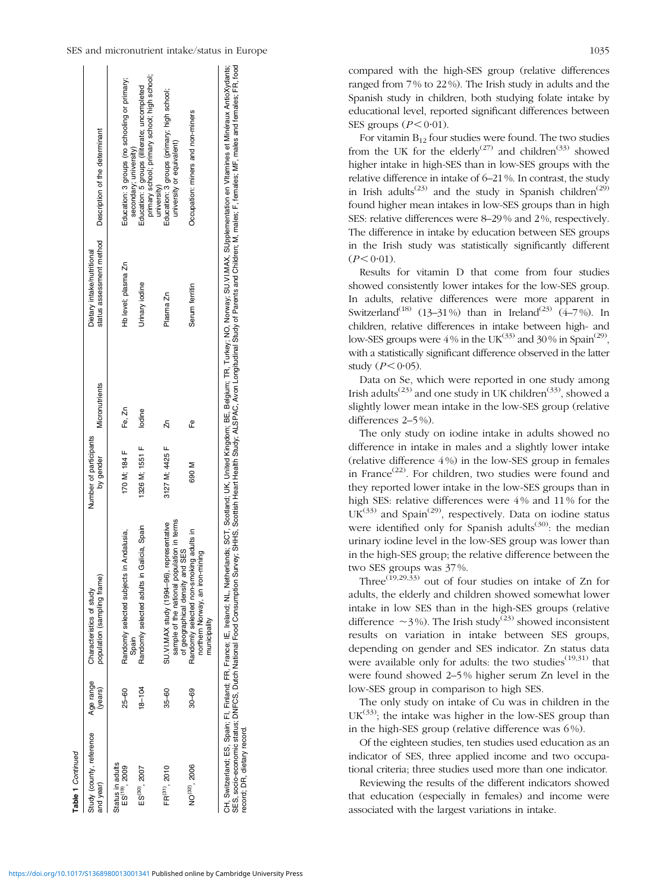| 170 M; 184 F<br>Andalusia,                           |        |                     | status assessment method Description of the determinant                                                                                                                                                                                                                                                                                                                           |
|------------------------------------------------------|--------|---------------------|-----------------------------------------------------------------------------------------------------------------------------------------------------------------------------------------------------------------------------------------------------------------------------------------------------------------------------------------------------------------------------------|
|                                                      | Fe, Zn | Hb level; plasma Zn | Education: 3 groups (no schooling or primary;                                                                                                                                                                                                                                                                                                                                     |
| 1326 M; 1551 F<br>Galicia, Spain                     | lodine | Jrinary iodine      | primary school; primary school; high school;<br>Education: 5 groups (illiterate; uncompleted<br>secondary; university)                                                                                                                                                                                                                                                            |
| 3127 M; 4425 F<br>ulation in terms<br>representative | ξ      |                     | Education: 3 groups (primary; high school;<br>university or equivalent)<br>university)                                                                                                                                                                                                                                                                                            |
| 690 M<br>Randomly selected non-smoking adults in     | լe     |                     | Occupation: miners and non-miners                                                                                                                                                                                                                                                                                                                                                 |
|                                                      |        |                     | SES, socio-economic status; DNFCS, Dutch National Food Consumption Survey; SHHS, Scottish Heart Health Study; ALSPAC, Avon Longitudinal Study of Parents and Children; M, males; F, fernales; MF, males and females; FF, food<br>lands; SCT, Sootland; UK, United Kingdom; BE, Belgium; TR, Turkey; NO, Norway; SU.VI.MAX, SUpplementation en Vitamines et Minéraux AntioXydants; |
|                                                      |        |                     | Serum ferritin<br>Plasma Zn                                                                                                                                                                                                                                                                                                                                                       |

compared with the high-SES group (relative differences ranged from 7 % to 22 %). The Irish study in adults and the Spanish study in children, both studying folate intake by educational level, reported significant differences between SES groups  $(P < 0.01)$ .

For vitamin  $B_{12}$  four studies were found. The two studies from the UK for the elderly<sup>([27\)](#page-13-0)</sup> and children<sup>([33\)](#page-14-0)</sup> showed higher intake in high-SES than in low-SES groups with the relative difference in intake of 6–21 %. In contrast, the study in Irish adults<sup>[\(23](#page-13-0))</sup> and the study in Spanish children<sup>[\(29](#page-13-0))</sup> found higher mean intakes in low-SES groups than in high SES: relative differences were 8–29 % and 2 %, respectively. The difference in intake by education between SES groups in the Irish study was statistically significantly different  $(P < 0.01)$ .

Results for vitamin D that come from four studies showed consistently lower intakes for the low-SES group. In adults, relative differences were more apparent in Switzerland<sup>[\(18](#page-13-0))</sup> (13–31%) than in Ireland<sup>([23](#page-13-0))</sup> (4–7%). In children, relative differences in intake between high- and low-SES groups were  $4\%$  in the UK<sup>[\(33](#page-14-0))</sup> and 30% in Spain<sup>[\(29](#page-13-0))</sup>, with a statistically significant difference observed in the latter study  $(P < 0.05)$ .

Data on Se, which were reported in one study among Irish adults<sup>[\(23](#page-13-0))</sup> and one study in UK children<sup>([33\)](#page-14-0)</sup>, showed a slightly lower mean intake in the low-SES group (relative differences 2–5 %).

The only study on iodine intake in adults showed no difference in intake in males and a slightly lower intake (relative difference 4 %) in the low-SES group in females in France<sup> $(22)$  $(22)$ </sup>. For children, two studies were found and they reported lower intake in the low-SES groups than in high SES: relative differences were 4 % and 11 % for the  $UK^{(33)}$  $UK^{(33)}$  $UK^{(33)}$  and Spain<sup>[\(29](#page-13-0))</sup>, respectively. Data on iodine status were identified only for Spanish adults<sup> $(30)$  $(30)$ </sup>: the median urinary iodine level in the low-SES group was lower than in the high-SES group; the relative difference between the two SES groups was 37 %.

Three[\(19,29](#page-13-0)[,33](#page-14-0)) out of four studies on intake of Zn for adults, the elderly and children showed somewhat lower intake in low SES than in the high-SES groups (relative difference  $\sim$ 3%). The Irish study<sup>[\(23](#page-13-0))</sup> showed inconsistent results on variation in intake between SES groups, depending on gender and SES indicator. Zn status data were available only for adults: the two studies<sup> $(19,31)$ </sup> that were found showed 2–5 % higher serum Zn level in the low-SES group in comparison to high SES.

The only study on intake of Cu was in children in the  $UK^{(33)}$  $UK^{(33)}$  $UK^{(33)}$ ; the intake was higher in the low-SES group than in the high-SES group (relative difference was 6 %).

Of the eighteen studies, ten studies used education as an indicator of SES, three applied income and two occupational criteria; three studies used more than one indicator.

Reviewing the results of the different indicators showed that education (especially in females) and income were associated with the largest variations in intake.

**Table 1 Continued** 

Continued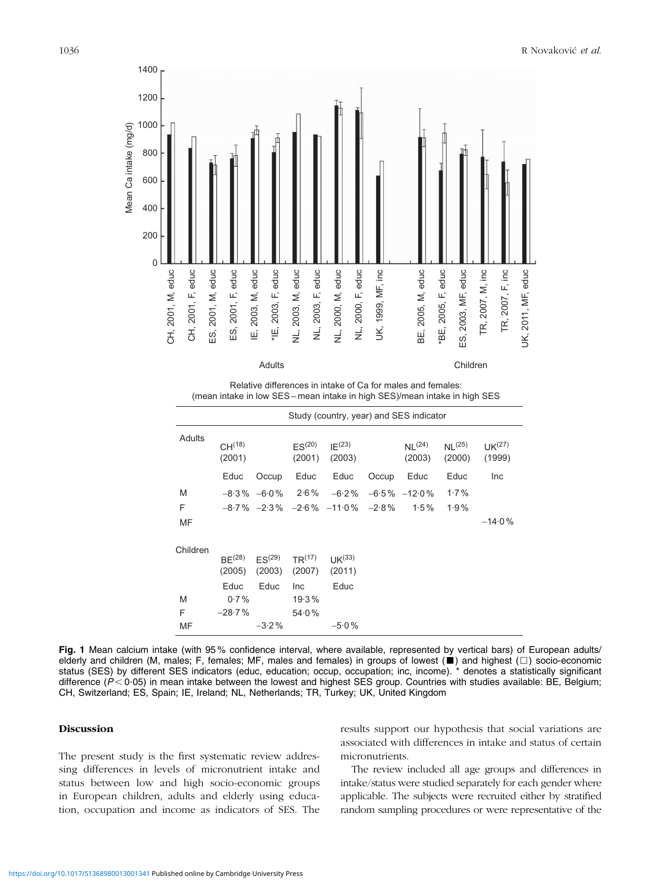<span id="page-5-0"></span>

Relative differences in intake of Ca for males and females: (mean intake in low SES – mean intake in high SES)/mean intake in high SES

|          | Study (country, year) and SES indicator |                       |                       |                                                       |       |         |                       |                       |
|----------|-----------------------------------------|-----------------------|-----------------------|-------------------------------------------------------|-------|---------|-----------------------|-----------------------|
| Adults   | CH <sup>(18)</sup><br>(2001)            |                       | $FS^{(20)}$<br>(2001) | IF <sup>(23)</sup><br>(2003)                          |       |         | $NL^{(25)}$<br>(2000) | $UK^{(27)}$<br>(1999) |
|          | Educ                                    | Occup                 | Educ                  | Educ                                                  | Occup | Educ    | Educ                  | <b>Inc</b>            |
| M        |                                         |                       |                       | $-8.3\%$ $-6.0\%$ $2.6\%$ $-6.2\%$ $-6.5\%$ $-12.0\%$ |       |         | $1.7\%$               |                       |
| F        |                                         |                       |                       | $-8.7\%$ $-2.3\%$ $-2.6\%$ $-11.0\%$ $-2.8\%$         |       | $1.5\%$ | 1.9%                  |                       |
| MF       |                                         |                       |                       |                                                       |       |         |                       | $-14.0%$              |
| Children | BF <sup>(28)</sup><br>(2005)            | $FS^{(29)}$<br>(2003) | $TR^{(17)}$<br>(2007) | $UK^{(33)}$<br>(2011)                                 |       |         |                       |                       |
|          | Educ                                    | Educ                  | <b>Inc</b>            | Educ                                                  |       |         |                       |                       |
| M        | $0.7\%$                                 |                       | 19.3%                 |                                                       |       |         |                       |                       |
| F        | $-28.7%$                                |                       | 54.0%                 |                                                       |       |         |                       |                       |
| MF       |                                         | $-3.2\%$              |                       | $-5.0%$                                               |       |         |                       |                       |

Fig. 1 Mean calcium intake (with 95 % confidence interval, where available, represented by vertical bars) of European adults/ elderly and children (M, males; F, females; MF, males and females) in groups of lowest ( $\blacksquare$ ) and highest ( $\Box$ ) socio-economic status (SES) by different SES indicators (educ, education; occup, occupation; inc, income). \* denotes a statistically significant difference  $(P < 0.05)$  in mean intake between the lowest and highest SES group. Countries with studies available: BE, Belgium; CH, Switzerland; ES, Spain; IE, Ireland; NL, Netherlands; TR, Turkey; UK, United Kingdom

# Discussion

The present study is the first systematic review addressing differences in levels of micronutrient intake and status between low and high socio-economic groups in European children, adults and elderly using education, occupation and income as indicators of SES. The

results support our hypothesis that social variations are associated with differences in intake and status of certain micronutrients.

The review included all age groups and differences in intake/status were studied separately for each gender where applicable. The subjects were recruited either by stratified random sampling procedures or were representative of the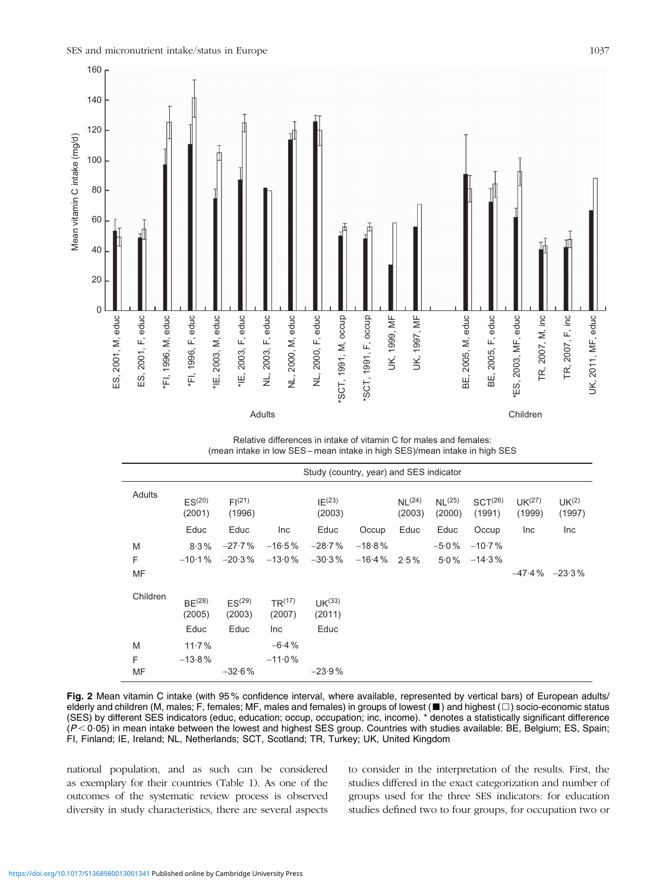<span id="page-6-0"></span>

Relative differences in intake of vitamin C for males and females: (mean intake in low SES – mean intake in high SES)/mean intake in high SES

|          |                               | Study (country, year) and SES indicator |                                     |                               |                |                       |                       |                               |                        |                             |
|----------|-------------------------------|-----------------------------------------|-------------------------------------|-------------------------------|----------------|-----------------------|-----------------------|-------------------------------|------------------------|-----------------------------|
| Adults   | $FS^{(20)}$<br>(2001)         | F(21)<br>(1996)                         |                                     | IF <sup>(23)</sup><br>(2003)  |                | $NI^{(24)}$<br>(2003) | $NL^{(25)}$<br>(2000) | SCT <sup>(26)</sup><br>(1991) | $IJK^{(27)}$<br>(1999) | UK <sup>(2)</sup><br>(1997) |
|          | Educ                          | Educ                                    | Inc                                 | Educ                          | Occup          | Educ                  | Educ                  | Occup                         | Inc                    | Inc                         |
| M        | $8.3\%$                       | $-27.7%$                                | $-16.5%$                            | $-28.7%$                      | $-18.8%$       |                       | $-5.0%$               | $-10.7\%$                     |                        |                             |
| F        |                               | $-10.1\% -20.3\%$                       | $-13.0\%$                           | $-30.3\%$                     | $-16.4\%$ 2.5% |                       |                       | $5.0\% -14.3\%$               |                        |                             |
| MF       |                               |                                         |                                     |                               |                |                       |                       |                               |                        | $-47.4\% -23.3\%$           |
| Children | $BE^{(28)}$<br>(2005)<br>Educ | $FS^{(29)}$<br>(2003)<br>Educ           | TR <sup>(17)</sup><br>(2007)<br>Inc | $UK^{(33)}$<br>(2011)<br>Educ |                |                       |                       |                               |                        |                             |
| M        | $11.7\%$                      |                                         | $-6.4%$                             |                               |                |                       |                       |                               |                        |                             |
| F<br>MF  | $-13.8%$                      | $-32.6%$                                | $-11.0%$                            | $-23.9%$                      |                |                       |                       |                               |                        |                             |

Fig. 2 Mean vitamin C intake (with 95 % confidence interval, where available, represented by vertical bars) of European adults/ elderly and children (M, males; F, females; MF, males and females) in groups of lowest ( $\blacksquare$ ) and highest ( $\Box$ ) socio-economic status (SES) by different SES indicators (educ, education; occup, occupation; inc, income). \* denotes a statistically significant difference  $(P < 0.05)$  in mean intake between the lowest and highest SES group. Countries with studies available: BE, Belgium; ES, Spain; FI, Finland; IE, Ireland; NL, Netherlands; SCT, Scotland; TR, Turkey; UK, United Kingdom

national population, and as such can be considered as exemplary for their countries [\(Table 1\)](#page-3-0). As one of the outcomes of the systematic review process is observed diversity in study characteristics, there are several aspects to consider in the interpretation of the results. First, the studies differed in the exact categorization and number of groups used for the three SES indicators: for education studies defined two to four groups, for occupation two or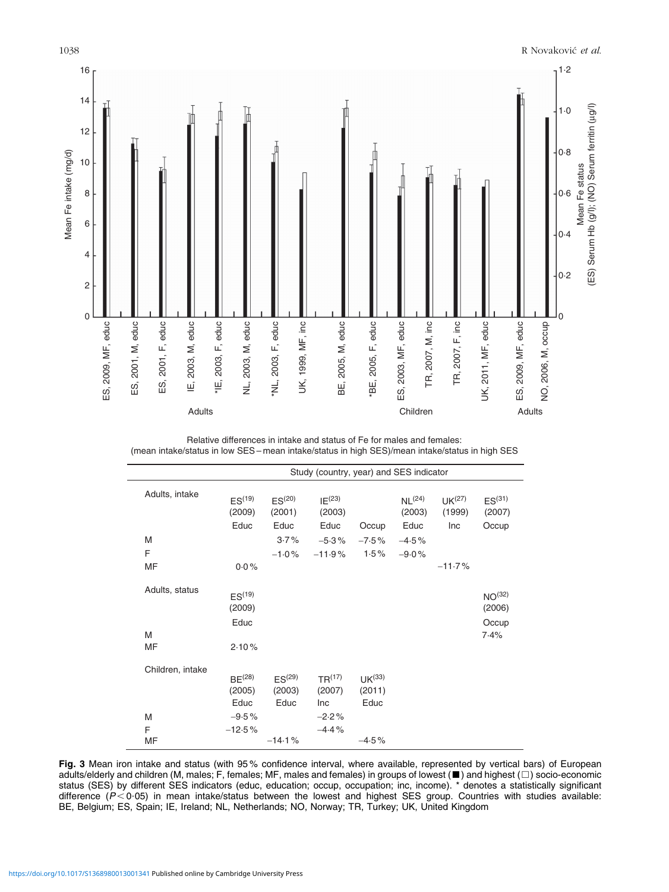<span id="page-7-0"></span>

Relative differences in intake and status of Fe for males and females: (mean intake/status in low SES – mean intake/status in high SES)/mean intake/status in high SES

|                           | Study (country, year) and SES indicator       |                               |                                      |                                      |                                      |                               |                                        |  |
|---------------------------|-----------------------------------------------|-------------------------------|--------------------------------------|--------------------------------------|--------------------------------------|-------------------------------|----------------------------------------|--|
| Adults, intake            | FS <sup>(19)</sup><br>(2009)<br>Educ          | $FS^{(20)}$<br>(2001)<br>Educ | IF <sup>(23)</sup><br>(2003)<br>Educ | Occup                                | NL <sup>(24)</sup><br>(2003)<br>Educ | $IJK^{(27)}$<br>(1999)<br>Inc | $FS^{(31)}$<br>(2007)<br>Occup         |  |
| M                         |                                               | 3.7%                          | $-5.3%$                              | $-7.5\%$                             | $-4.5%$                              |                               |                                        |  |
| F                         |                                               | $-1.0%$                       | $-11.9%$                             | 1.5%                                 | $-9.0%$                              |                               |                                        |  |
| MF                        | 0.0%                                          |                               |                                      |                                      |                                      | $-11.7%$                      |                                        |  |
| Adults, status<br>M<br>MF | ES <sup>(19)</sup><br>(2009)<br>Educ<br>2.10% |                               |                                      |                                      |                                      |                               | $NO^{(32)}$<br>(2006)<br>Occup<br>7.4% |  |
| Children, intake          | $BE^{(28)}$<br>(2005)<br>Educ                 | $FS^{(29)}$<br>(2003)<br>Educ | TR <sup>(17)</sup><br>(2007)<br>Inc  | UK <sup>(33)</sup><br>(2011)<br>Educ |                                      |                               |                                        |  |
| M                         | $-9.5%$                                       |                               | $-2.2%$                              |                                      |                                      |                               |                                        |  |
| F                         | $-12.5%$                                      |                               | $-4.4%$                              |                                      |                                      |                               |                                        |  |
| MF                        |                                               | $-14.1%$                      |                                      | $-4.5%$                              |                                      |                               |                                        |  |

Fig. 3 Mean iron intake and status (with 95% confidence interval, where available, represented by vertical bars) of European adults/elderly and children (M, males; F, females; MF, males and females) in groups of lowest  $(\blacksquare)$  and highest  $(\square)$  socio-economic status (SES) by different SES indicators (educ, education; occup, occupation; inc, income). \* denotes a statistically significant difference  $(P < 0.05)$  in mean intake/status between the lowest and highest SES group. Countries with studies available: BE, Belgium; ES, Spain; IE, Ireland; NL, Netherlands; NO, Norway; TR, Turkey; UK, United Kingdom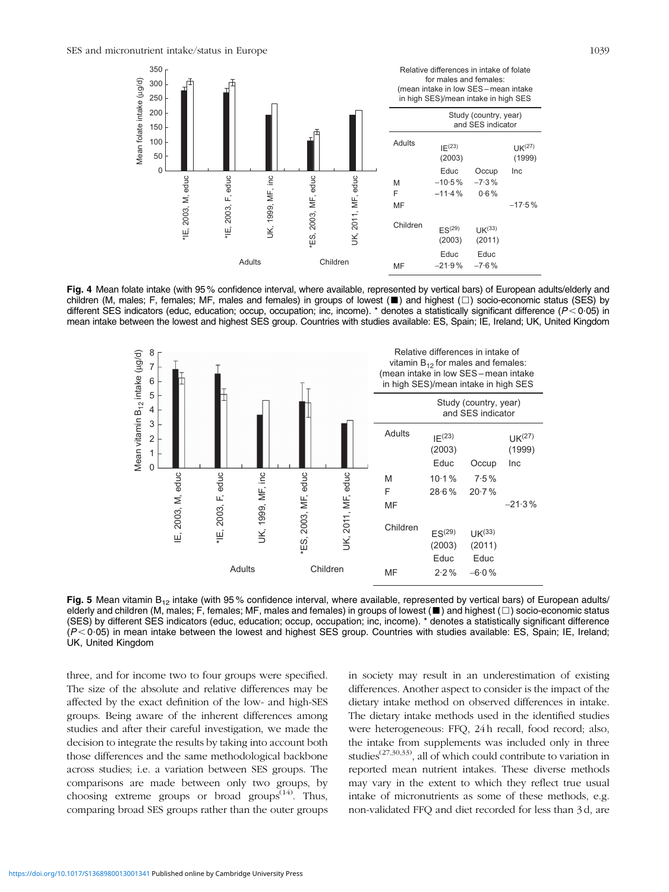<span id="page-8-0"></span>

Fig. 4 Mean folate intake (with 95 % confidence interval, where available, represented by vertical bars) of European adults/elderly and children (M, males; F, females; MF, males and females) in groups of lowest  $(\blacksquare)$  and highest  $(\square)$  socio-economic status (SES) by different SES indicators (educ, education; occup, occupation; inc, income).  $*$  denotes a statistically significant difference ( $P < 0.05$ ) in mean intake between the lowest and highest SES group. Countries with studies available: ES, Spain; IE, Ireland; UK, United Kingdom



Fig. 5 Mean vitamin B<sub>12</sub> intake (with 95% confidence interval, where available, represented by vertical bars) of European adults/ elderly and children (M, males; F, females; MF, males and females) in groups of lowest ( $\blacksquare$ ) and highest ( $\Box$ ) socio-economic status (SES) by different SES indicators (educ, education; occup, occupation; inc, income). \* denotes a statistically significant difference  $(P < 0.05)$  in mean intake between the lowest and highest SES group. Countries with studies available: ES, Spain; IE, Ireland; UK, United Kingdom

three, and for income two to four groups were specified. The size of the absolute and relative differences may be affected by the exact definition of the low- and high-SES groups. Being aware of the inherent differences among studies and after their careful investigation, we made the decision to integrate the results by taking into account both those differences and the same methodological backbone across studies; i.e. a variation between SES groups. The comparisons are made between only two groups, by choosing extreme groups or broad groups<sup> $(14)$  $(14)$ </sup>. Thus, comparing broad SES groups rather than the outer groups in society may result in an underestimation of existing differences. Another aspect to consider is the impact of the dietary intake method on observed differences in intake. The dietary intake methods used in the identified studies were heterogeneous: FFQ, 24 h recall, food record; also, the intake from supplements was included only in three studies<sup> $(27,30,33)$  $(27,30,33)$  $(27,30,33)$  $(27,30,33)$  $(27,30,33)$ </sup>, all of which could contribute to variation in reported mean nutrient intakes. These diverse methods may vary in the extent to which they reflect true usual intake of micronutrients as some of these methods, e.g. non-validated FFQ and diet recorded for less than 3 d, are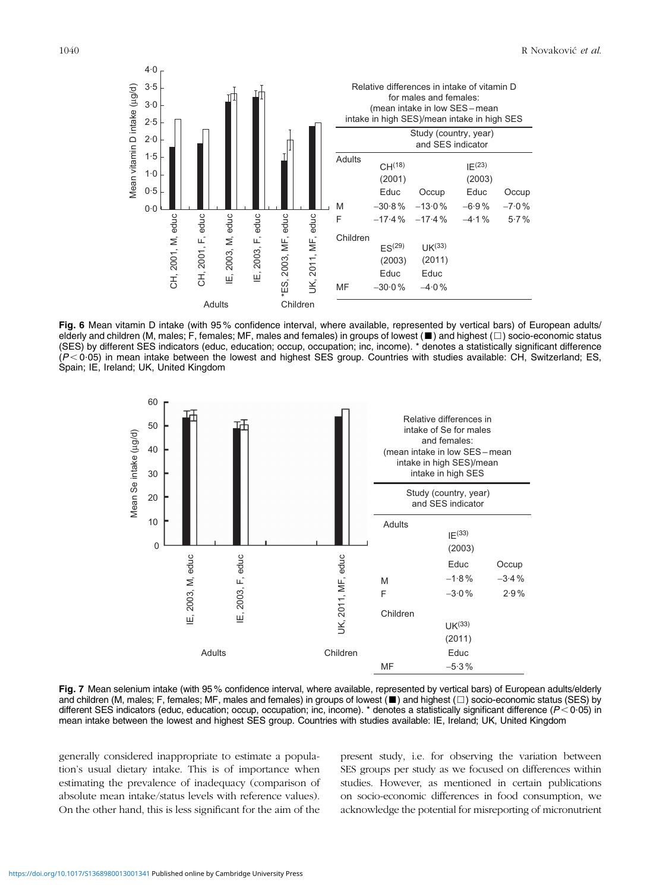<span id="page-9-0"></span>

Fig. 6 Mean vitamin D intake (with 95 % confidence interval, where available, represented by vertical bars) of European adults/ elderly and children (M, males; F, females; MF, males and females) in groups of lowest ( $\blacksquare$ ) and highest ( $\Box$ ) socio-economic status (SES) by different SES indicators (educ, education; occup, occupation; inc, income). \* denotes a statistically significant difference  $(P < 0.05)$  in mean intake between the lowest and highest SES group. Countries with studies available: CH, Switzerland; ES, Spain; IE, Ireland; UK, United Kingdom



Fig. 7 Mean selenium intake (with 95 % confidence interval, where available, represented by vertical bars) of European adults/elderly and children (M, males; F, females; MF, males and females) in groups of lowest ( $\blacksquare$ ) and highest ( $\Box$ ) socio-economic status (SES) by different SES indicators (educ, education; occup, occupation; inc, income).  $*$  denotes a statistically significant difference ( $P < 0.05$ ) in mean intake between the lowest and highest SES group. Countries with studies available: IE, Ireland; UK, United Kingdom

generally considered inappropriate to estimate a population's usual dietary intake. This is of importance when estimating the prevalence of inadequacy (comparison of absolute mean intake/status levels with reference values). On the other hand, this is less significant for the aim of the present study, i.e. for observing the variation between SES groups per study as we focused on differences within studies. However, as mentioned in certain publications on socio-economic differences in food consumption, we acknowledge the potential for misreporting of micronutrient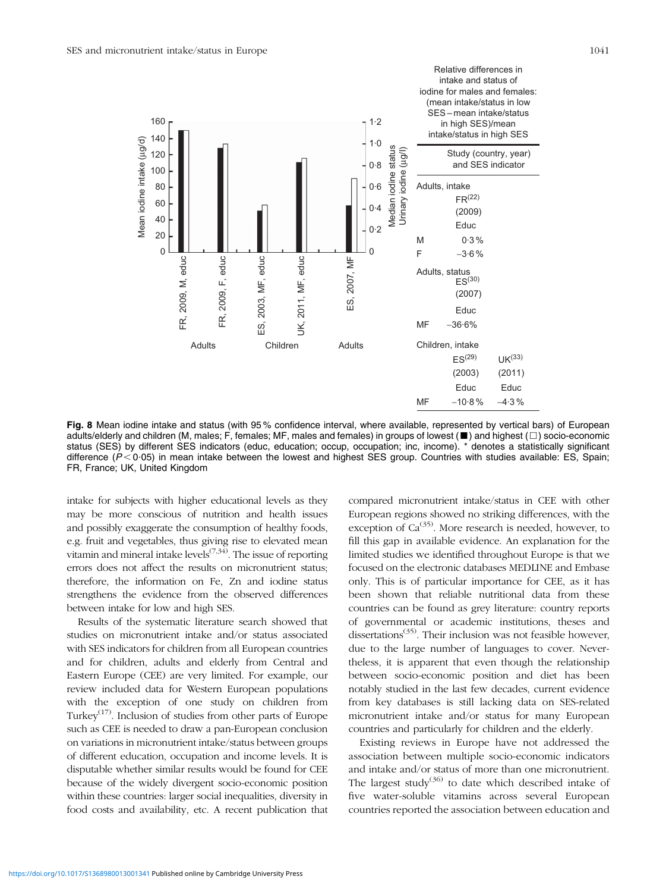<span id="page-10-0"></span>

Fig. 8 Mean iodine intake and status (with 95 % confidence interval, where available, represented by vertical bars) of European adults/elderly and children (M, males; F, females; MF, males and females) in groups of lowest  $(\blacksquare)$  and highest  $(\square)$  socio-economic status (SES) by different SES indicators (educ, education; occup, occupation; inc, income). \* denotes a statistically significant difference  $(P < 0.05)$  in mean intake between the lowest and highest SES group. Countries with studies available: ES, Spain; FR, France; UK, United Kingdom

intake for subjects with higher educational levels as they may be more conscious of nutrition and health issues and possibly exaggerate the consumption of healthy foods, e.g. fruit and vegetables, thus giving rise to elevated mean vitamin and mineral intake levels<sup> $(7,34)$  $(7,34)$  $(7,34)$  $(7,34)$ </sup>. The issue of reporting errors does not affect the results on micronutrient status; therefore, the information on Fe, Zn and iodine status strengthens the evidence from the observed differences between intake for low and high SES.

Results of the systematic literature search showed that studies on micronutrient intake and/or status associated with SES indicators for children from all European countries and for children, adults and elderly from Central and Eastern Europe (CEE) are very limited. For example, our review included data for Western European populations with the exception of one study on children from Turkey<sup>([17\)](#page-13-0)</sup>. Inclusion of studies from other parts of Europe such as CEE is needed to draw a pan-European conclusion on variations in micronutrient intake/status between groups of different education, occupation and income levels. It is disputable whether similar results would be found for CEE because of the widely divergent socio-economic position within these countries: larger social inequalities, diversity in food costs and availability, etc. A recent publication that compared micronutrient intake/status in CEE with other European regions showed no striking differences, with the exception of  $Ca^{(35)}$  $Ca^{(35)}$  $Ca^{(35)}$ . More research is needed, however, to fill this gap in available evidence. An explanation for the limited studies we identified throughout Europe is that we focused on the electronic databases MEDLINE and Embase only. This is of particular importance for CEE, as it has been shown that reliable nutritional data from these countries can be found as grey literature: country reports of governmental or academic institutions, theses and dissertations<sup>([35\)](#page-14-0)</sup>. Their inclusion was not feasible however, due to the large number of languages to cover. Nevertheless, it is apparent that even though the relationship between socio-economic position and diet has been notably studied in the last few decades, current evidence from key databases is still lacking data on SES-related micronutrient intake and/or status for many European countries and particularly for children and the elderly.

Existing reviews in Europe have not addressed the association between multiple socio-economic indicators and intake and/or status of more than one micronutrient. The largest study<sup>[\(36](#page-14-0))</sup> to date which described intake of five water-soluble vitamins across several European countries reported the association between education and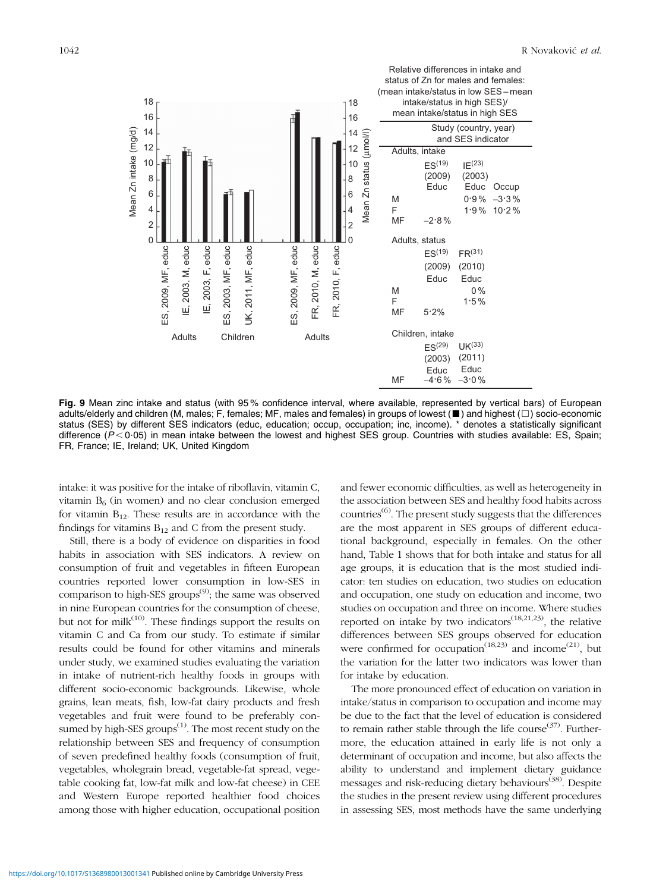<span id="page-11-0"></span>

Fig. 9 Mean zinc intake and status (with 95 % confidence interval, where available, represented by vertical bars) of European adults/elderly and children (M, males; F, females; MF, males and females) in groups of lowest ( $\blacksquare$ ) and highest ( $\Box$ ) socio-economic status (SES) by different SES indicators (educ, education; occup, occupation; inc, income). \* denotes a statistically significant difference  $(P < 0.05)$  in mean intake between the lowest and highest SES group. Countries with studies available: ES, Spain; FR, France; IE, Ireland; UK, United Kingdom

intake: it was positive for the intake of riboflavin, vitamin C, vitamin  $B_6$  (in women) and no clear conclusion emerged for vitamin  $B_{12}$ . These results are in accordance with the findings for vitamins  $B_{12}$  and C from the present study.

Still, there is a body of evidence on disparities in food habits in association with SES indicators. A review on consumption of fruit and vegetables in fifteen European countries reported lower consumption in low-SES in comparison to high-SES groups $^{(9)}$  $^{(9)}$  $^{(9)}$ ; the same was observed in nine European countries for the consumption of cheese, but not for mil $k^{(10)}$  $k^{(10)}$  $k^{(10)}$ . These findings support the results on vitamin C and Ca from our study. To estimate if similar results could be found for other vitamins and minerals under study, we examined studies evaluating the variation in intake of nutrient-rich healthy foods in groups with different socio-economic backgrounds. Likewise, whole grains, lean meats, fish, low-fat dairy products and fresh vegetables and fruit were found to be preferably consumed by high-SES groups $^{(1)}$  $^{(1)}$  $^{(1)}$ . The most recent study on the relationship between SES and frequency of consumption of seven predefined healthy foods (consumption of fruit, vegetables, wholegrain bread, vegetable-fat spread, vegetable cooking fat, low-fat milk and low-fat cheese) in CEE and Western Europe reported healthier food choices among those with higher education, occupational position and fewer economic difficulties, as well as heterogeneity in the association between SES and healthy food habits across countries[\(6\)](#page-13-0). The present study suggests that the differences are the most apparent in SES groups of different educational background, especially in females. On the other hand, [Table 1](#page-3-0) shows that for both intake and status for all age groups, it is education that is the most studied indicator: ten studies on education, two studies on education and occupation, one study on education and income, two studies on occupation and three on income. Where studies reported on intake by two indicators<sup> $(18,21,23)$  $(18,21,23)$  $(18,21,23)$  $(18,21,23)$ </sup>, the relative differences between SES groups observed for education were confirmed for occupation<sup> $(18,23)$  $(18,23)$  $(18,23)$ </sup> and income<sup>([21\)](#page-13-0)</sup>, but the variation for the latter two indicators was lower than for intake by education.

The more pronounced effect of education on variation in intake/status in comparison to occupation and income may be due to the fact that the level of education is considered to remain rather stable through the life course<sup> $(37)$  $(37)$ </sup>. Furthermore, the education attained in early life is not only a determinant of occupation and income, but also affects the ability to understand and implement dietary guidance messages and risk-reducing dietary behaviours<sup>[\(38\)](#page-14-0)</sup>. Despite the studies in the present review using different procedures in assessing SES, most methods have the same underlying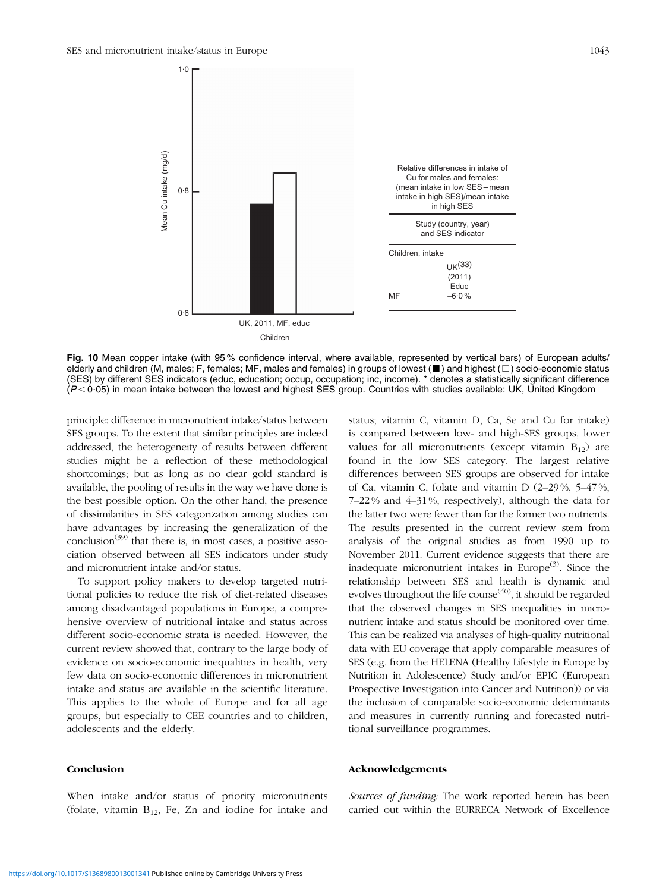1·0

<span id="page-12-0"></span>

Fig. 10 Mean copper intake (with 95% confidence interval, where available, represented by vertical bars) of European adults/ elderly and children (M, males; F, females; MF, males and females) in groups of lowest ( $\blacksquare$ ) and highest ( $\Box$ ) socio-economic status (SES) by different SES indicators (educ, education; occup, occupation; inc, income). \* denotes a statistically significant difference  $(P < 0.05)$  in mean intake between the lowest and highest SES group. Countries with studies available: UK, United Kingdom

principle: difference in micronutrient intake/status between SES groups. To the extent that similar principles are indeed addressed, the heterogeneity of results between different studies might be a reflection of these methodological shortcomings; but as long as no clear gold standard is available, the pooling of results in the way we have done is the best possible option. On the other hand, the presence of dissimilarities in SES categorization among studies can have advantages by increasing the generalization of the conclusion<sup> $(39)$  $(39)$ </sup> that there is, in most cases, a positive association observed between all SES indicators under study and micronutrient intake and/or status.

To support policy makers to develop targeted nutritional policies to reduce the risk of diet-related diseases among disadvantaged populations in Europe, a comprehensive overview of nutritional intake and status across different socio-economic strata is needed. However, the current review showed that, contrary to the large body of evidence on socio-economic inequalities in health, very few data on socio-economic differences in micronutrient intake and status are available in the scientific literature. This applies to the whole of Europe and for all age groups, but especially to CEE countries and to children, adolescents and the elderly.

# Conclusion

When intake and/or status of priority micronutrients (folate, vitamin  $B_{12}$ , Fe, Zn and iodine for intake and status; vitamin C, vitamin D, Ca, Se and Cu for intake) is compared between low- and high-SES groups, lower values for all micronutrients (except vitamin  $B_{12}$ ) are found in the low SES category. The largest relative differences between SES groups are observed for intake of Ca, vitamin C, folate and vitamin D (2–29 %, 5–47 %, 7–22 % and 4–31 %, respectively), although the data for the latter two were fewer than for the former two nutrients. The results presented in the current review stem from analysis of the original studies as from 1990 up to November 2011. Current evidence suggests that there are inadequate micronutrient intakes in Europe<sup>[\(3](#page-13-0))</sup>. Since the relationship between SES and health is dynamic and evolves throughout the life course<sup>([40](#page-14-0))</sup>, it should be regarded that the observed changes in SES inequalities in micronutrient intake and status should be monitored over time. This can be realized via analyses of high-quality nutritional data with EU coverage that apply comparable measures of SES (e.g. from the HELENA (Healthy Lifestyle in Europe by Nutrition in Adolescence) Study and/or EPIC (European Prospective Investigation into Cancer and Nutrition)) or via the inclusion of comparable socio-economic determinants and measures in currently running and forecasted nutritional surveillance programmes.

# Acknowledgements

Sources of funding: The work reported herein has been carried out within the EURRECA Network of Excellence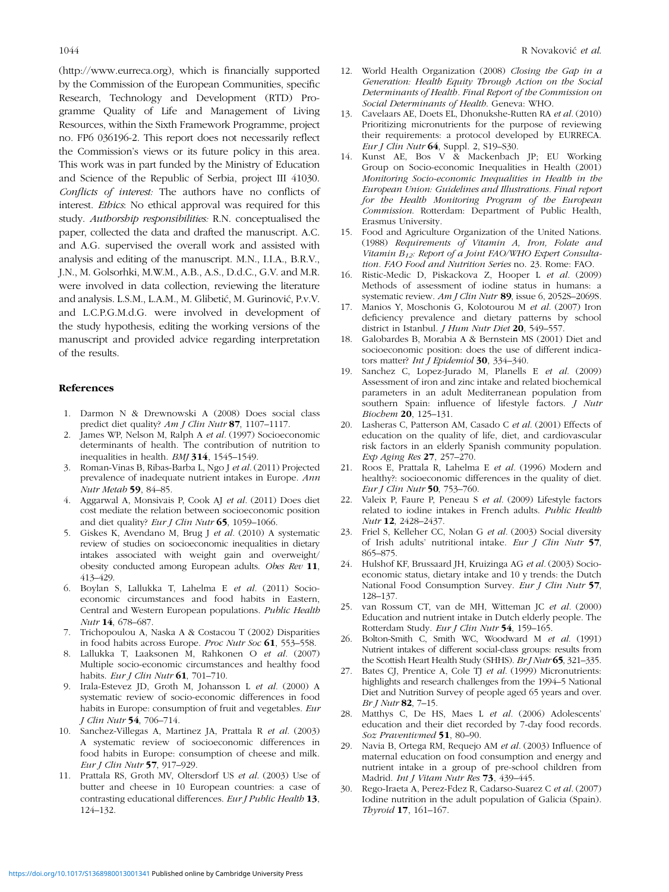<span id="page-13-0"></span>(http://www.eurreca.org), which is financially supported by the Commission of the European Communities, specific Research, Technology and Development (RTD) Programme Quality of Life and Management of Living Resources, within the Sixth Framework Programme, project no. FP6 036196-2. This report does not necessarily reflect the Commission's views or its future policy in this area. This work was in part funded by the Ministry of Education and Science of the Republic of Serbia, project III 41030. Conflicts of interest: The authors have no conflicts of interest. Ethics: No ethical approval was required for this study. Authorship responsibilities: R.N. conceptualised the paper, collected the data and drafted the manuscript. A.C. and A.G. supervised the overall work and assisted with analysis and editing of the manuscript. M.N., I.I.A., B.R.V., J.N., M. Golsorhki, M.W.M., A.B., A.S., D.d.C., G.V. and M.R. were involved in data collection, reviewing the literature and analysis. L.S.M., L.A.M., M. Glibetić, M. Gurinović, P.v.V. and L.C.P.G.M.d.G. were involved in development of the study hypothesis, editing the working versions of the manuscript and provided advice regarding interpretation of the results.

#### References

- 1. Darmon N & Drewnowski A (2008) Does social class predict diet quality? Am J Clin Nutr 87, 1107-1117.
- 2. James WP, Nelson M, Ralph A et al. (1997) Socioeconomic determinants of health. The contribution of nutrition to inequalities in health. BMJ 314, 1545-1549.
- 3. Roman-Vinas B, Ribas-Barba L, Ngo J et al. (2011) Projected prevalence of inadequate nutrient intakes in Europe. Ann Nutr Metab 59, 84–85.
- 4. Aggarwal A, Monsivais P, Cook AJ et al. (2011) Does diet cost mediate the relation between socioeconomic position and diet quality? Eur J Clin Nutr  $65$ , 1059-1066.
- 5. Giskes K, Avendano M, Brug J et al. (2010) A systematic review of studies on socioeconomic inequalities in dietary intakes associated with weight gain and overweight/ obesity conducted among European adults. Obes Rev 11, 413–429.
- 6. Boylan S, Lallukka T, Lahelma E et al. (2011) Socioeconomic circumstances and food habits in Eastern, Central and Western European populations. Public Health Nutr 14, 678–687.
- 7. Trichopoulou A, Naska A & Costacou T (2002) Disparities in food habits across Europe. Proc Nutr Soc 61, 553–558.
- 8. Lallukka T, Laaksonen M, Rahkonen O et al. (2007) Multiple socio-economic circumstances and healthy food habits. Eur J Clin Nutr  $61$ , 701-710.
- 9. Irala-Estevez JD, Groth M, Johansson L et al. (2000) A systematic review of socio-economic differences in food habits in Europe: consumption of fruit and vegetables. Eur J Clin Nutr 54, 706–714.
- 10. Sanchez-Villegas A, Martinez JA, Prattala R et al. (2003) A systematic review of socioeconomic differences in food habits in Europe: consumption of cheese and milk. Eur J Clin Nutr 57, 917–929.
- 11. Prattala RS, Groth MV, Oltersdorf US et al. (2003) Use of butter and cheese in 10 European countries: a case of contrasting educational differences. Eur J Public Health 13, 124–132.
- 12. World Health Organization (2008) Closing the Gap in a Generation: Health Equity Through Action on the Social Determinants of Health. Final Report of the Commission on Social Determinants of Health. Geneva: WHO.
- 13. Cavelaars AE, Doets EL, Dhonukshe-Rutten RA et al. (2010) Prioritizing micronutrients for the purpose of reviewing their requirements: a protocol developed by EURRECA. Eur J Clin Nutr 64, Suppl. 2, S19–S30.
- 14. Kunst AE, Bos V & Mackenbach JP; EU Working Group on Socio-economic Inequalities in Health (2001) Monitoring Socio-economic Inequalities in Health in the European Union: Guidelines and Illustrations. Final report for the Health Monitoring Program of the European Commission. Rotterdam: Department of Public Health, Erasmus University.
- 15. Food and Agriculture Organization of the United Nations. (1988) Requirements of Vitamin A, Iron, Folate and Vitamin  $B_{12}$ : Report of a Joint FAO/WHO Expert Consultation. FAO Food and Nutrition Series no. 23. Rome: FAO.
- 16. Ristic-Medic D, Piskackova Z, Hooper L et al. (2009) Methods of assessment of iodine status in humans: a systematic review. Am J Clin Nutr 89, issue 6, 2052S-2069S.
- 17. Manios Y, Moschonis G, Kolotourou M et al. (2007) Iron deficiency prevalence and dietary patterns by school district in Istanbul. *J Hum Nutr Diet* 20, 549-557.
- 18. Galobardes B, Morabia A & Bernstein MS (2001) Diet and socioeconomic position: does the use of different indicators matter? Int J Epidemiol 30, 334-340.
- 19. Sanchez C, Lopez-Jurado M, Planells E et al. (2009) Assessment of iron and zinc intake and related biochemical parameters in an adult Mediterranean population from southern Spain: influence of lifestyle factors. J Nutr Biochem 20, 125–131.
- 20. Lasheras C, Patterson AM, Casado C et al. (2001) Effects of education on the quality of life, diet, and cardiovascular risk factors in an elderly Spanish community population. Exp Aging Res 27, 257–270.
- 21. Roos E, Prattala R, Lahelma E et al. (1996) Modern and healthy?: socioeconomic differences in the quality of diet. Eur J Clin Nutr 50, 753–760.
- 22. Valeix P, Faure P, Peneau S et al. (2009) Lifestyle factors related to iodine intakes in French adults. Public Health Nutr 12, 2428–2437.
- 23. Friel S, Kelleher CC, Nolan G et al. (2003) Social diversity of Irish adults' nutritional intake. Eur J Clin Nutr 57, 865–875.
- 24. Hulshof KF, Brussaard JH, Kruizinga AG et al. (2003) Socioeconomic status, dietary intake and 10 y trends: the Dutch National Food Consumption Survey. Eur J Clin Nutr 57, 128–137.
- 25. van Rossum CT, van de MH, Witteman JC et al. (2000) Education and nutrient intake in Dutch elderly people. The Rotterdam Study. Eur J Clin Nutr 54, 159-165.
- 26. Bolton-Smith C, Smith WC, Woodward M et al. (1991) Nutrient intakes of different social-class groups: results from the Scottish Heart Health Study (SHHS). Br J Nutr 65, 321-335.
- 27. Bates CJ, Prentice A, Cole TJ et al. (1999) Micronutrients: highlights and research challenges from the 1994–5 National Diet and Nutrition Survey of people aged 65 years and over. Br J Nutr 82, 7–15.
- 28. Matthys C, De HS, Maes L et al. (2006) Adolescents' education and their diet recorded by 7-day food records. Soz Praventivmed 51, 80–90.
- Navia B, Ortega RM, Requejo AM et al. (2003) Influence of maternal education on food consumption and energy and nutrient intake in a group of pre-school children from Madrid. Int J Vitam Nutr Res 73, 439-445.
- 30. Rego-Iraeta A, Perez-Fdez R, Cadarso-Suarez C et al. (2007) Iodine nutrition in the adult population of Galicia (Spain). Thyroid 17, 161–167.